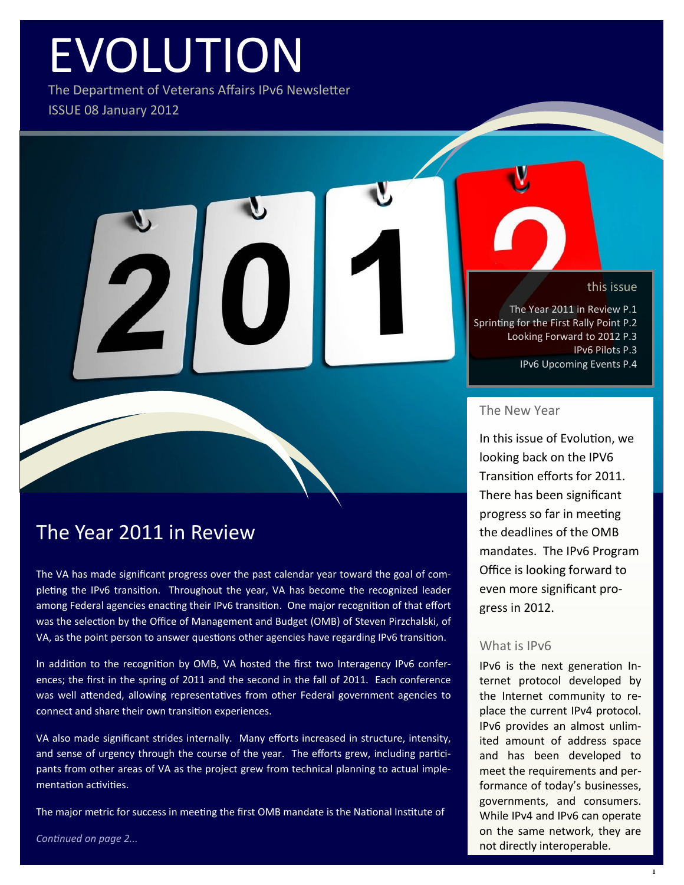# EVOLUTION

The Department of Veterans Affairs IPv6 Newsletter ISSUE 08 January 2012

#### this issue

The Year 2011 in Review P.1 Sprinting for the First Rally Point P.2 Looking Forward to 2012 P.3 IPv6 Pilots P.3 IPv6 Upcoming Events P.4

#### The New Year

In this issue of Evolution, we looking back on the IPV6 Transition efforts for 2011. There has been significant progress so far in meeting the deadlines of the OMB mandates. The IPv6 Program Office is looking forward to even more significant progress in 2012.

#### What is IPv6

IPv6 is the next generation Internet protocol developed by the Internet community to replace the current IPv4 protocol. IPv6 provides an almost unlimited amount of address space and has been developed to meet the requirements and performance of today's businesses, governments, and consumers. While IPv4 and IPv6 can operate on the same network, they are not directly interoperable.

### The Year 2011 in Review

The VA has made significant progress over the past calendar year toward the goal of completing the IPv6 transition. Throughout the year, VA has become the recognized leader among Federal agencies enacting their IPv6 transition. One major recognition of that effort was the selection by the Office of Management and Budget (OMB) of Steven Pirzchalski, of VA, as the point person to answer questions other agencies have regarding IPv6 transition.

In addition to the recognition by OMB, VA hosted the first two Interagency IPv6 conferences; the first in the spring of 2011 and the second in the fall of 2011. Each conference was well attended, allowing representatives from other Federal government agencies to connect and share their own transition experiences.

VA also made significant strides internally. Many efforts increased in structure, intensity, and sense of urgency through the course of the year. The efforts grew, including participants from other areas of VA as the project grew from technical planning to actual implementation activities.

The major metric for success in meeting the first OMB mandate is the National Institute of

*Continued on page 2...*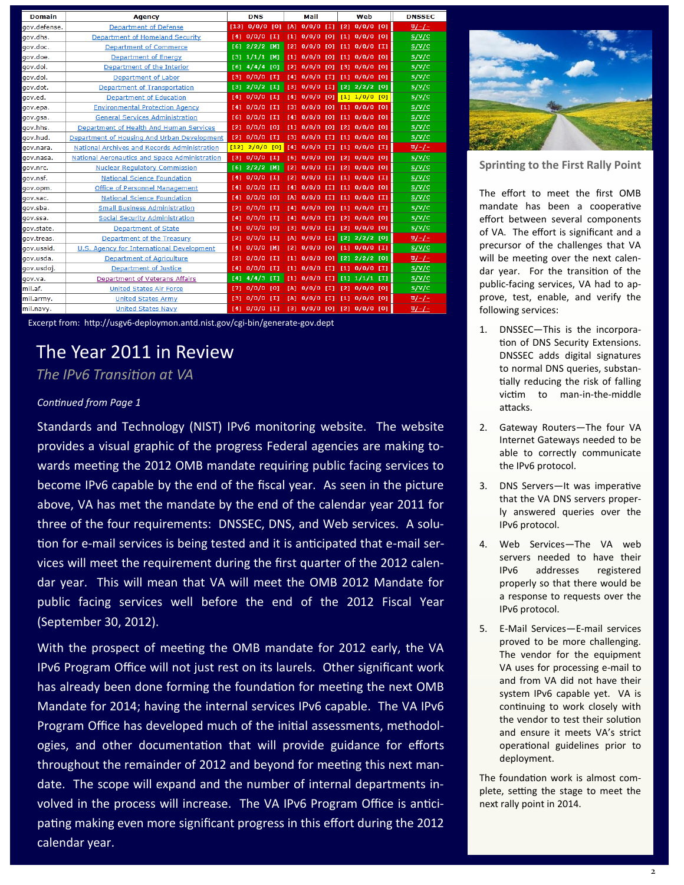| <b>Domain</b> | <b>Agency</b>                                 |      | <b>DNS</b>        |     |            | Mail                 |     |     | Web                         | <b>DNSSEC</b>  |
|---------------|-----------------------------------------------|------|-------------------|-----|------------|----------------------|-----|-----|-----------------------------|----------------|
| gov.defense.  | <b>Department of Defense</b>                  |      | $[13]$ 0/0/0 [0]  |     |            | $ $ [A] 0/0/0 [I]    |     |     | $[2] 0/0/0$ [0]             | $U/-/-$        |
| gov.dhs.      | Department of Homeland Security               | [4]  | $0/0/0$ [I]       |     | [1]        | $0/0/0$ [0]          |     |     | $[1]$ 0/0/0 [0]             | S/V/C          |
| gov.doc.      | <b>Department of Commerce</b>                 |      | $[6]$ 2/2/2 [M]   |     | [2]        | $0/0/0$ [O]          |     | [1] | $0/0/0$ [I]                 | S/V/C          |
| gov.doe.      | Department of Energy                          |      | $[3] 1/1/1$ [M]   |     | T11        | $0/0/0$ [0]          |     |     | $[1]$ 0/0/0 [0]             | S/V/C          |
| gov.doi.      | Department of the Interior                    | [6]  | 4/4/4             | [0] | [2]        | $0/0/0$ [O]          |     | [3] | $0/0/0$ [0]                 | S/V/C          |
| gov.dol.      | <b>Department of Labor</b>                    | 131  | $0/0/0$ [I]       |     |            | [4] 0/0/0 [I]        |     |     | $[1]$ 0/0/0 [0]             | S/V/C          |
| gov.dot.      | Department of Transportation                  |      | $[3]$ 2/0/2 [I]   |     | [3]        | $0/0/0$ [I]          |     |     | $[2]$ $2/2/2$ $[0]$         | S/V/C          |
| gov.ed.       | <b>Department of Education</b>                |      | [4] 0/0/0 [1]     |     | [4]        | $0/0/0$ [O]          |     |     | [1] 1/0/0 [0]               | S/V/C          |
| gov.epa.      | <b>Environmental Protection Agency</b>        | [4]  | $0/0/0$ [I]       |     | <b>F31</b> | $0/0/0$ [O]          |     |     | $[1]$ 0/0/0 [0]             | S/V/C          |
| gov.gsa.      | <b>General Services Administration</b>        | [6]  | $0/0/0$ [I]       |     | [4]        | $0/0/0$ [O]          |     |     | $[1]$ 0/0/0 [0]             | S/V/C          |
| gov.hhs.      | Department of Health And Human Services       | 121  | $0/0/0$ [0]       |     | [1]        | $0/0/0$ [0]          |     |     | [2] 0/0/0 [0]               | S/V/C          |
| gov.hud.      | Department of Housing And Urban Development   | [2]  | $0/0/0$ [I]       |     | [3]        | $0/0/0$ [I]          |     |     | $[1]$ 0/0/0 [0]             | S/V/C          |
| gov.nara.     | National Archives and Records Administration  | [12] | $2/0/0$ [0]       |     |            | <b>F41 0/0/0 FI1</b> |     |     | $[1] 0/0/0$ $[1]$           | $U/-/-$        |
| gov.nasa.     | National Aeronautics and Space Administration | [3]  | $0/0/0$ [I]       |     |            | $[6]$ $0/0/0$ $[0]$  |     |     | $[2]$ 0/0/0 [0]             | S/V/C          |
| gov.nrc.      | <b>Nuclear Regulatory Commission</b>          |      | $[6]$ 2/2/2 [M]   |     | 121        | $0/0/0$ [I]          |     |     | $[2]$ 0/0/0 [0]             | S/V/C          |
| qov.nsf.      | <b>National Science Foundation</b>            | [4]  | $0/0/0$ [I]       |     | 121        | $0/0/0$ [I]          |     | [1] | $0/0/0$ [I]                 | S/V/C          |
| gov.opm.      | <b>Office of Personnel Management</b>         | [4]  | $0/0/0$ [I]       |     | [4]        | $0/0/0$ [I]          |     |     | $[1]$ $0/0/0$ $[0]$         | S/V/C          |
| gov.sac.      | <b>National Science Foundation</b>            | [4]  | $0/0/0$ [0]       |     | [A]        | $0/0/0$ [I]          |     |     | $[1]$ 0/0/0 [I]             | S/V/C          |
| gov.sba.      | <b>Small Business Administration</b>          | [2]  | $0/0/0$ [I]       |     | T41        | $0/0/0$ [O]          |     |     | $[1]$ 0/0/0 $[1]$           | S/V/C          |
| gov.ssa.      | <b>Social Security Administration</b>         | [4]  | 0/0/0 [I]         |     | [4]        | $0/0/0$ [I]          |     | [2] | $0/0/0$ [0]                 | S/V/C          |
| gov.state.    | <b>Department of State</b>                    | [4]  | $0/0/0$ [0]       |     | <b>131</b> | $0/0/0$ [I]          |     |     | [2] 0/0/0 [0]               | S/V/C          |
| gov.treas.    | Department of the Treasury                    | [2]  | $0/0/0$ [I]       |     | [A]        | $0/0/0$ [I]          |     |     | $[2]$ $2/2/2$ $[0]$         | $U/-/-$        |
| gov.usaid.    | U.S. Agency for International Development     | [4]  | $0/0/0$ [M]       |     | [2]        | $0/0/0$ [0]          |     |     | $[1]$ 0/0/0 [I]             | S/V/C          |
| gov.usda.     | <b>Department of Agriculture</b>              | [2]  | $0/0/0$ [I]       |     | [1]        | $0/0/0$ [0]          |     |     | $[2]$ $2/2/2$ $[0]$         | $U/-/-$        |
| gov.usdoj.    | <b>Department of Justice</b>                  | [4]  | $0/0/0$ [I]       |     | [1]        | $0/0/0$ [I]          |     |     | $[1]$ 0/0/0 [I]             | S/V/C          |
| gov.va.       | Department of Veterans Affairs                | [4]  | $4/4/3$ [I]       |     |            | $[1]$ 0/0/0 [I]      |     |     | $[1]$ $1/1/1$ $[1]$         | S/V/C          |
| mil.af.       | <b>United States Air Force</b>                | [7]  | $0/0/0$ [0]       |     | [A]        | $0/0/0$ [I]          |     |     | $[2]$ 0/0/0 [0]             | S/V/C          |
| mil.army.     | <b>United States Army</b>                     | [3]  | $0/0/0$ [I]       |     | <b>TA1</b> | 0/0/0                | ונד | [1] | $0/0/0$ [0]                 | $\frac{U}{-1}$ |
| mil.navy.     | <b>United States Navy</b>                     |      | $[4] 0/0/0$ $[1]$ |     |            |                      |     |     | [3] 0/0/0 [0] [2] 0/0/0 [0] | $\frac{U}{-1}$ |

Excerpt from: http://usgv6-deploymon.antd.nist.gov/cgi-bin/generate-gov.dept

### The Year 2011 in Review

#### *The IPv6 Transition at VA*

#### *Continued from Page 1*

Standards and Technology (NIST) IPv6 monitoring website. The website provides a visual graphic of the progress Federal agencies are making towards meeting the 2012 OMB mandate requiring public facing services to become IPv6 capable by the end of the fiscal year. As seen in the picture above, VA has met the mandate by the end of the calendar year 2011 for three of the four requirements: DNSSEC, DNS, and Web services. A solution for e-mail services is being tested and it is anticipated that e-mail services will meet the requirement during the first quarter of the 2012 calendar year. This will mean that VA will meet the OMB 2012 Mandate for public facing services well before the end of the 2012 Fiscal Year (September 30, 2012).

With the prospect of meeting the OMB mandate for 2012 early, the VA IPv6 Program Office will not just rest on its laurels. Other significant work has already been done forming the foundation for meeting the next OMB Mandate for 2014; having the internal services IPv6 capable. The VA IPv6 Program Office has developed much of the initial assessments, methodologies, and other documentation that will provide guidance for efforts throughout the remainder of 2012 and beyond for meeting this next mandate. The scope will expand and the number of internal departments involved in the process will increase. The VA IPv6 Program Office is anticipating making even more significant progress in this effort during the 2012 calendar year.



**Sprinting to the First Rally Point**

The effort to meet the first OMB mandate has been a cooperative effort between several components of VA. The effort is significant and a precursor of the challenges that VA will be meeting over the next calendar year. For the transition of the public-facing services, VA had to approve, test, enable, and verify the following services:

- 1. DNSSEC—This is the incorporation of DNS Security Extensions. DNSSEC adds digital signatures to normal DNS queries, substantially reducing the risk of falling victim to man-in-the-middle attacks.
- 2. Gateway Routers—The four VA Internet Gateways needed to be able to correctly communicate the IPv6 protocol.
- 3. DNS Servers—It was imperative that the VA DNS servers properly answered queries over the IPv6 protocol.
- 4. Web Services—The VA web servers needed to have their IPv6 addresses registered properly so that there would be a response to requests over the IPv6 protocol.
- 5. E-Mail Services—E-mail services proved to be more challenging. The vendor for the equipment VA uses for processing e-mail to and from VA did not have their system IPv6 capable yet. VA is continuing to work closely with the vendor to test their solution and ensure it meets VA's strict operational guidelines prior to deployment.

The foundation work is almost complete, setting the stage to meet the next rally point in 2014.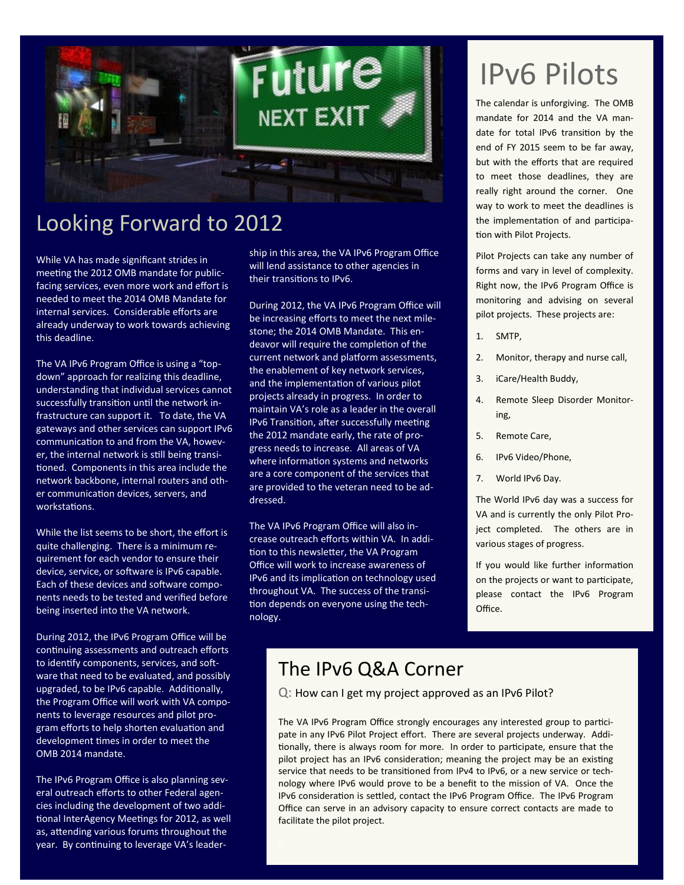

### Looking Forward to 2012

While VA has made significant strides in meeting the 2012 OMB mandate for publicfacing services, even more work and effort is needed to meet the 2014 OMB Mandate for internal services. Considerable efforts are already underway to work towards achieving this deadline.

The VA IPv6 Program Office is using a "topdown" approach for realizing this deadline, understanding that individual services cannot successfully transition until the network infrastructure can support it. To date, the VA gateways and other services can support IPv6 communication to and from the VA, however, the internal network is still being transitioned. Components in this area include the network backbone, internal routers and other communication devices, servers, and workstations.

While the list seems to be short, the effort is quite challenging. There is a minimum requirement for each vendor to ensure their device, service, or software is IPv6 capable. Each of these devices and software components needs to be tested and verified before being inserted into the VA network.

During 2012, the IPv6 Program Office will be continuing assessments and outreach efforts to identify components, services, and software that need to be evaluated, and possibly upgraded, to be IPv6 capable. Additionally, the Program Office will work with VA components to leverage resources and pilot program efforts to help shorten evaluation and development times in order to meet the OMB 2014 mandate.

The IPv6 Program Office is also planning several outreach efforts to other Federal agencies including the development of two additional InterAgency Meetings for 2012, as well as, attending various forums throughout the year. By continuing to leverage VA's leader-

ship in this area, the VA IPv6 Program Office will lend assistance to other agencies in their transitions to IPv6.

During 2012, the VA IPv6 Program Office will be increasing efforts to meet the next milestone; the 2014 OMB Mandate. This endeavor will require the completion of the current network and platform assessments, the enablement of key network services, and the implementation of various pilot projects already in progress. In order to maintain VA's role as a leader in the overall IPv6 Transition, after successfully meeting the 2012 mandate early, the rate of progress needs to increase. All areas of VA where information systems and networks are a core component of the services that are provided to the veteran need to be addressed.

The VA IPv6 Program Office will also increase outreach efforts within VA. In addition to this newsletter, the VA Program Office will work to increase awareness of IPv6 and its implication on technology used throughout VA. The success of the transition depends on everyone using the technology.

## IPv6 Pilots

The calendar is unforgiving. The OMB mandate for 2014 and the VA mandate for total IPv6 transition by the end of FY 2015 seem to be far away, but with the efforts that are required to meet those deadlines, they are really right around the corner. One way to work to meet the deadlines is the implementation of and participation with Pilot Projects.

Pilot Projects can take any number of forms and vary in level of complexity. Right now, the IPv6 Program Office is monitoring and advising on several pilot projects. These projects are:

- 1. SMTP,
- 2. Monitor, therapy and nurse call,
- 3. iCare/Health Buddy,
- 4. Remote Sleep Disorder Monitoring,
- 5. Remote Care,
- 6. IPv6 Video/Phone,
- 7. World IPv6 Day.

The World IPv6 day was a success for VA and is currently the only Pilot Project completed. The others are in various stages of progress.

If you would like further information on the projects or want to participate, please contact the IPv6 Program Office.

### The IPv6 Q&A Corner

Q: How can I get my project approved as an IPv6 Pilot?

The VA IPv6 Program Office strongly encourages any interested group to participate in any IPv6 Pilot Project effort. There are several projects underway. Additionally, there is always room for more. In order to participate, ensure that the pilot project has an IPv6 consideration; meaning the project may be an existing service that needs to be transitioned from IPv4 to IPv6, or a new service or technology where IPv6 would prove to be a benefit to the mission of VA. Once the IPv6 consideration is settled, contact the IPv6 Program Office. The IPv6 Program Office can serve in an advisory capacity to ensure correct contacts are made to facilitate the pilot project.